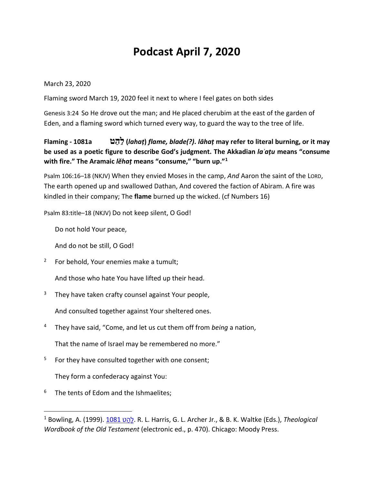# **Podcast April 7, 2020**

March 23, 2020

Flaming sword March 19, 2020 feel it next to where I feel gates on both sides

Genesis 3:24 So He drove out the man; and He placed cherubim at the east of the garden of Eden, and a flaming sword which turned every way, to guard the way to the tree of life.

### **Flaming - 1081a ט ַהַל)** *lahaṭ***)** *flame, blade(?)***.** *lāhaṭ* **may refer to literal burning, or it may be used as a poetic figure to describe God's judgment. The Akkadian** *laʾaṭu* **means "consume**  with fire." The Aramaic *lĕhaṭ* means "consume," "burn up."<sup>1</sup>

Psalm 106:16–18 (NKJV) When they envied Moses in the camp, *And* Aaron the saint of the LORD, The earth opened up and swallowed Dathan, And covered the faction of Abiram. A fire was kindled in their company; The **flame** burned up the wicked. (cf Numbers 16)

Psalm 83:title–18 (NKJV) Do not keep silent, O God!

Do not hold Your peace,

And do not be still, O God!

<sup>2</sup> For behold, Your enemies make a tumult;

And those who hate You have lifted up their head.

 $3$  They have taken crafty counsel against Your people,

And consulted together against Your sheltered ones.

<sup>4</sup> They have said, "Come, and let us cut them off from *being* a nation,

That the name of Israel may be remembered no more."

<sup>5</sup> For they have consulted together with one consent;

They form a confederacy against You:

 $6$  The tents of Edom and the Ishmaelites;

 <sup>1</sup> Bowling, A. (1999). [1081](https://ref.ly/logosres/twot?ref=Page.p+470&off=2448) ט ַהָל. R. L. Harris, G. L. Archer Jr., & B. K. Waltke (Eds.), *Theological Wordbook of the Old Testament* (electronic ed., p. 470). Chicago: Moody Press.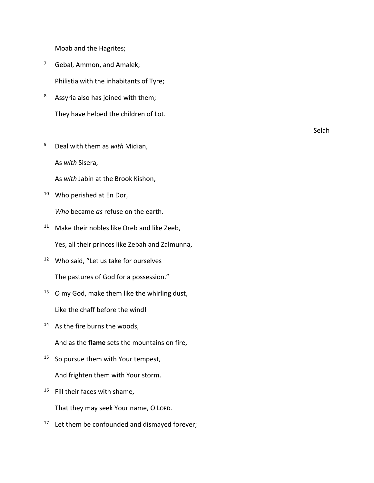Moab and the Hagrites;

- <sup>7</sup> Gebal, Ammon, and Amalek; Philistia with the inhabitants of Tyre;
- <sup>8</sup> Assyria also has joined with them; They have helped the children of Lot.
- <sup>9</sup> Deal with them as *with* Midian, As *with* Sisera,

As *with* Jabin at the Brook Kishon,

<sup>10</sup> Who perished at En Dor,

*Who* became *as* refuse on the earth.

- <sup>11</sup> Make their nobles like Oreb and like Zeeb, Yes, all their princes like Zebah and Zalmunna,
- <sup>12</sup> Who said, "Let us take for ourselves The pastures of God for a possession."
- <sup>13</sup> O my God, make them like the whirling dust, Like the chaff before the wind!
- <sup>14</sup> As the fire burns the woods,

And as the **flame** sets the mountains on fire,

- <sup>15</sup> So pursue them with Your tempest, And frighten them with Your storm.
- <sup>16</sup> Fill their faces with shame,

That they may seek Your name, O LORD.

<sup>17</sup> Let them be confounded and dismayed forever;

Selah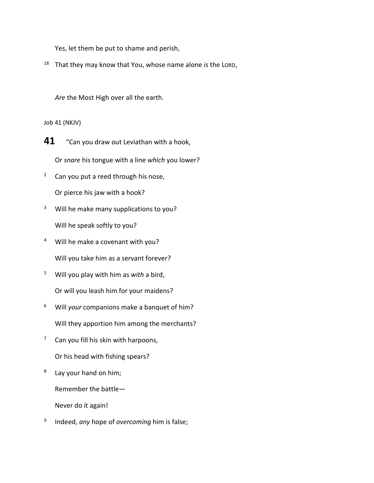Yes, let them be put to shame and perish,

<sup>18</sup> That they may know that You, whose name alone *is* the LORD,

*Are* the Most High over all the earth.

Job 41 (NKJV)

**41** "Can you draw out Leviathan with a hook,

Or *snare* his tongue with a line *which* you lower?

<sup>2</sup> Can you put a reed through his nose,

Or pierce his jaw with a hook?

- <sup>3</sup> Will he make many supplications to you? Will he speak softly to you?
- <sup>4</sup> Will he make a covenant with you? Will you take him as a servant forever?
- <sup>5</sup> Will you play with him as *with* a bird, Or will you leash him for your maidens?
- <sup>6</sup> Will *your* companions make a banquet of him? Will they apportion him among the merchants?
- $7$  Can you fill his skin with harpoons, Or his head with fishing spears?
- $8$  Lay your hand on him;

Remember the battle—

Never do it again!

<sup>9</sup> Indeed, *any* hope of *overcoming* him is false;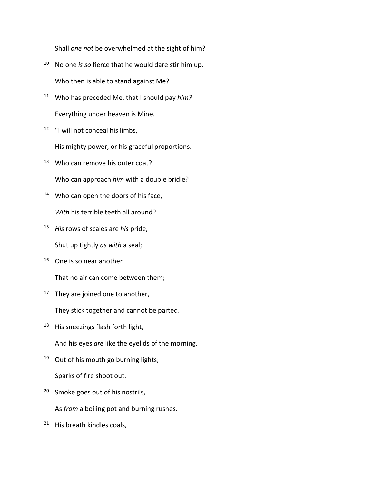Shall *one not* be overwhelmed at the sight of him?

- <sup>10</sup> No one *is so* fierce that he would dare stir him up. Who then is able to stand against Me?
- <sup>11</sup> Who has preceded Me, that I should pay *him?* Everything under heaven is Mine.
- <sup>12</sup> "I will not conceal his limbs, His mighty power, or his graceful proportions.
- <sup>13</sup> Who can remove his outer coat? Who can approach *him* with a double bridle?
- <sup>14</sup> Who can open the doors of his face, *With* his terrible teeth all around?
- <sup>15</sup> *His* rows of scales are *his* pride,

Shut up tightly *as with* a seal;

<sup>16</sup> One is so near another

That no air can come between them;

 $17$  They are joined one to another,

They stick together and cannot be parted.

<sup>18</sup> His sneezings flash forth light,

And his eyes *are* like the eyelids of the morning.

- <sup>19</sup> Out of his mouth go burning lights; Sparks of fire shoot out.
- <sup>20</sup> Smoke goes out of his nostrils,

As *from* a boiling pot and burning rushes.

 $21$  His breath kindles coals,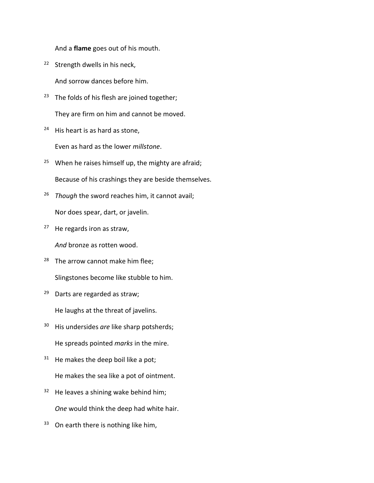And a **flame** goes out of his mouth.

<sup>22</sup> Strength dwells in his neck,

And sorrow dances before him.

- <sup>23</sup> The folds of his flesh are joined together; They are firm on him and cannot be moved.
- <sup>24</sup> His heart is as hard as stone,

Even as hard as the lower *millstone*.

- <sup>25</sup> When he raises himself up, the mighty are afraid; Because of his crashings they are beside themselves.
- <sup>26</sup> *Though* the sword reaches him, it cannot avail; Nor does spear, dart, or javelin.
- $27$  He regards iron as straw,

*And* bronze as rotten wood.

- $28$  The arrow cannot make him flee; Slingstones become like stubble to him.
- <sup>29</sup> Darts are regarded as straw;

He laughs at the threat of javelins.

- <sup>30</sup> His undersides *are* like sharp potsherds; He spreads pointed *marks* in the mire.
- $31$  He makes the deep boil like a pot; He makes the sea like a pot of ointment.
- $32$  He leaves a shining wake behind him; *One* would think the deep had white hair.
- <sup>33</sup> On earth there is nothing like him,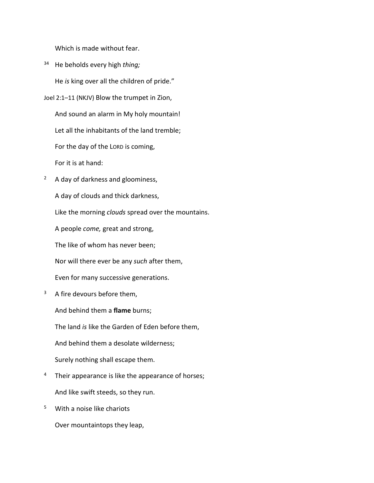Which is made without fear.

<sup>34</sup> He beholds every high *thing;*

He *is* king over all the children of pride."

- Joel 2:1–11 (NKJV) Blow the trumpet in Zion, And sound an alarm in My holy mountain! Let all the inhabitants of the land tremble; For the day of the LORD is coming, For it is at hand:
- <sup>2</sup> A day of darkness and gloominess, A day of clouds and thick darkness, Like the morning *clouds* spread over the mountains.

A people *come,* great and strong,

The like of whom has never been;

Nor will there ever be any *such* after them,

Even for many successive generations.

<sup>3</sup> A fire devours before them,

And behind them a **flame** burns;

The land *is* like the Garden of Eden before them,

And behind them a desolate wilderness;

Surely nothing shall escape them.

- <sup>4</sup> Their appearance is like the appearance of horses; And like swift steeds, so they run.
- <sup>5</sup> With a noise like chariots

Over mountaintops they leap,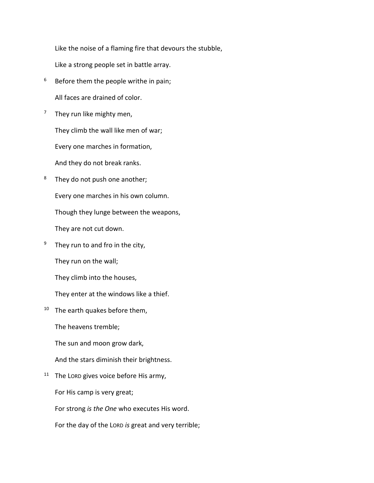Like the noise of a flaming fire that devours the stubble,

Like a strong people set in battle array.

- $6$  Before them the people writhe in pain; All faces are drained of color.
- $7$  They run like mighty men,

They climb the wall like men of war;

Every one marches in formation,

And they do not break ranks.

<sup>8</sup> They do not push one another;

Every one marches in his own column.

Though they lunge between the weapons,

They are not cut down.

 $9$  They run to and fro in the city,

They run on the wall;

They climb into the houses,

They enter at the windows like a thief.

 $10$  The earth quakes before them,

The heavens tremble;

The sun and moon grow dark,

And the stars diminish their brightness.

<sup>11</sup> The LORD gives voice before His army,

For His camp is very great;

For strong *is the One* who executes His word.

For the day of the LORD *is* great and very terrible;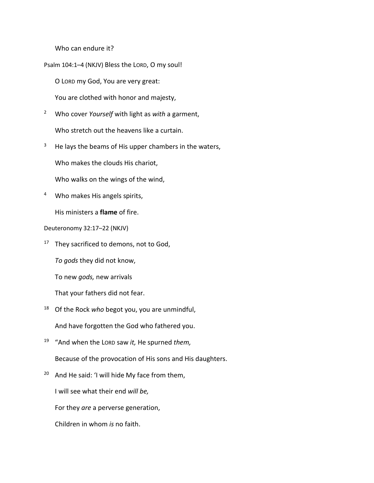Who can endure it?

Psalm 104:1–4 (NKJV) Bless the LORD, O my soul!

O LORD my God, You are very great:

You are clothed with honor and majesty,

- <sup>2</sup> Who cover *Yourself* with light as *with* a garment, Who stretch out the heavens like a curtain.
- $3$  He lays the beams of His upper chambers in the waters,

Who makes the clouds His chariot,

Who walks on the wings of the wind,

<sup>4</sup> Who makes His angels spirits,

His ministers a **flame** of fire.

Deuteronomy 32:17–22 (NKJV)

 $17$  They sacrificed to demons, not to God,

*To gods* they did not know,

To new *gods,* new arrivals

That your fathers did not fear.

<sup>18</sup> Of the Rock *who* begot you, you are unmindful,

And have forgotten the God who fathered you.

- <sup>19</sup> "And when the LORD saw *it,* He spurned *them,* Because of the provocation of His sons and His daughters.
- $20$  And He said: 'I will hide My face from them,

I will see what their end *will be,*

For they *are* a perverse generation,

Children in whom *is* no faith.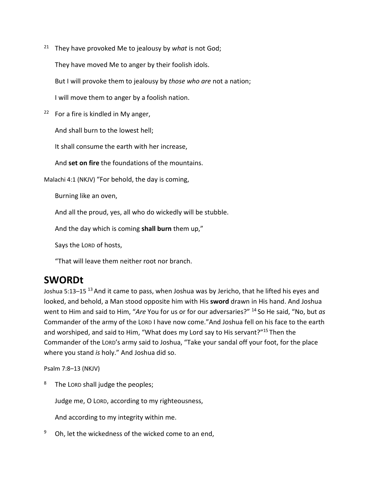- <sup>21</sup> They have provoked Me to jealousy by *what* is not God; They have moved Me to anger by their foolish idols. But I will provoke them to jealousy by *those who are* not a nation; I will move them to anger by a foolish nation.
- $22$  For a fire is kindled in My anger,

And shall burn to the lowest hell;

It shall consume the earth with her increase,

And **set on fire** the foundations of the mountains.

Malachi 4:1 (NKJV) "For behold, the day is coming,

Burning like an oven,

And all the proud, yes, all who do wickedly will be stubble.

And the day which is coming **shall burn** them up,"

Says the LORD of hosts,

"That will leave them neither root nor branch.

## **SWORDt**

Joshua 5:13–15<sup>13</sup> And it came to pass, when Joshua was by Jericho, that he lifted his eyes and looked, and behold, a Man stood opposite him with His **sword** drawn in His hand. And Joshua went to Him and said to Him, "*Are* You for us or for our adversaries?" 14 So He said, "No, but *as* Commander of the army of the LORD I have now come."And Joshua fell on his face to the earth and worshiped, and said to Him, "What does my Lord say to His servant?"<sup>15</sup> Then the Commander of the LORD's army said to Joshua, "Take your sandal off your foot, for the place where you stand *is* holy." And Joshua did so.

Psalm 7:8–13 (NKJV)

<sup>8</sup> The LORD shall judge the peoples;

Judge me, O LORD, according to my righteousness,

And according to my integrity within me.

 $9$  Oh, let the wickedness of the wicked come to an end,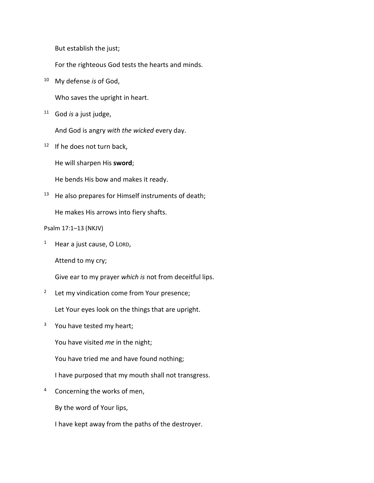But establish the just;

For the righteous God tests the hearts and minds.

<sup>10</sup> My defense *is* of God,

Who saves the upright in heart.

<sup>11</sup> God *is* a just judge,

And God is angry *with the wicked* every day.

 $12$  If he does not turn back,

He will sharpen His **sword**;

He bends His bow and makes it ready.

 $13$  He also prepares for Himself instruments of death;

He makes His arrows into fiery shafts.

Psalm 17:1–13 (NKJV)

 $1$  Hear a just cause, O LORD,

Attend to my cry;

Give ear to my prayer *which is* not from deceitful lips.

<sup>2</sup> Let my vindication come from Your presence;

Let Your eyes look on the things that are upright.

 $3$  You have tested my heart;

You have visited *me* in the night;

You have tried me and have found nothing;

I have purposed that my mouth shall not transgress.

<sup>4</sup> Concerning the works of men,

By the word of Your lips,

I have kept away from the paths of the destroyer.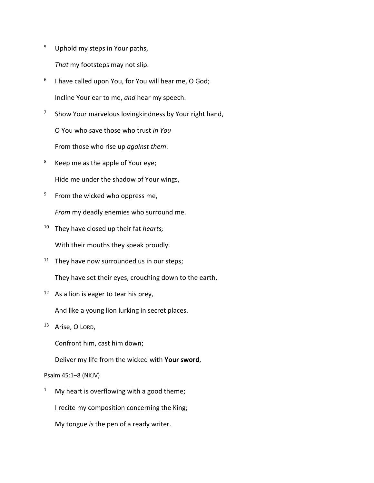<sup>5</sup> Uphold my steps in Your paths,

*That* my footsteps may not slip.

- $6$  I have called upon You, for You will hear me, O God; Incline Your ear to me, *and* hear my speech.
- $7$  Show Your marvelous loving kindness by Your right hand, O You who save those who trust *in You* From those who rise up *against them*.
- <sup>8</sup> Keep me as the apple of Your eye; Hide me under the shadow of Your wings,
- $9$  From the wicked who oppress me, *From* my deadly enemies who surround me.
- <sup>10</sup> They have closed up their fat *hearts;* With their mouths they speak proudly.
- $11$  They have now surrounded us in our steps; They have set their eyes, crouching down to the earth,
- $12$  As a lion is eager to tear his prey,
	- And like a young lion lurking in secret places.
- <sup>13</sup> Arise, O LORD,

Confront him, cast him down;

Deliver my life from the wicked with **Your sword**,

#### Psalm 45:1–8 (NKJV)

<sup>1</sup> My heart is overflowing with a good theme;

I recite my composition concerning the King;

My tongue *is* the pen of a ready writer.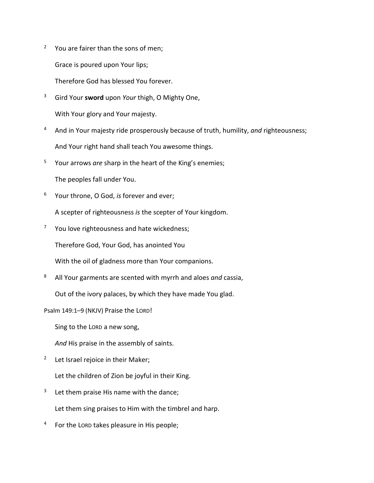<sup>2</sup> You are fairer than the sons of men;

Grace is poured upon Your lips;

Therefore God has blessed You forever.

- <sup>3</sup> Gird Your **sword** upon *Your* thigh, O Mighty One, With Your glory and Your majesty.
- <sup>4</sup> And in Your majesty ride prosperously because of truth, humility, *and* righteousness; And Your right hand shall teach You awesome things.
- <sup>5</sup> Your arrows *are* sharp in the heart of the King's enemies;

The peoples fall under You.

<sup>6</sup> Your throne, O God, *is* forever and ever;

A scepter of righteousness *is* the scepter of Your kingdom.

<sup>7</sup> You love righteousness and hate wickedness;

Therefore God, Your God, has anointed You

With the oil of gladness more than Your companions.

<sup>8</sup> All Your garments are scented with myrrh and aloes *and* cassia,

Out of the ivory palaces, by which they have made You glad.

Psalm 149:1–9 (NKJV) Praise the LORD!

Sing to the LORD a new song,

*And* His praise in the assembly of saints.

<sup>2</sup> Let Israel rejoice in their Maker;

Let the children of Zion be joyful in their King.

- $3$  Let them praise His name with the dance; Let them sing praises to Him with the timbrel and harp.
- <sup>4</sup> For the LORD takes pleasure in His people;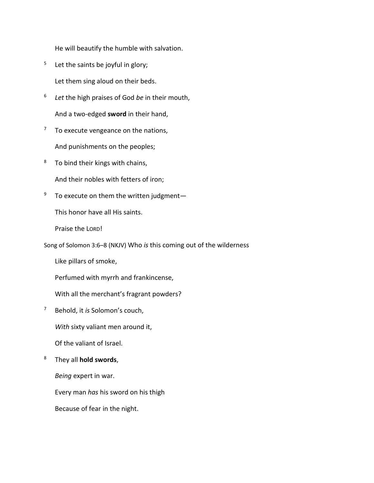He will beautify the humble with salvation.

 $5$  Let the saints be joyful in glory;

Let them sing aloud on their beds.

- <sup>6</sup> *Let* the high praises of God *be* in their mouth, And a two-edged **sword** in their hand,
- $7$  To execute vengeance on the nations, And punishments on the peoples;
- <sup>8</sup> To bind their kings with chains,

And their nobles with fetters of iron;

 $9$  To execute on them the written judgment-

This honor have all His saints.

Praise the LORD!

Song of Solomon 3:6–8 (NKJV) Who *is* this coming out of the wilderness

Like pillars of smoke,

Perfumed with myrrh and frankincense,

With all the merchant's fragrant powders?

<sup>7</sup> Behold, it *is* Solomon's couch,

*With* sixty valiant men around it,

Of the valiant of Israel.

<sup>8</sup> They all **hold swords**,

*Being* expert in war.

Every man *has* his sword on his thigh

Because of fear in the night.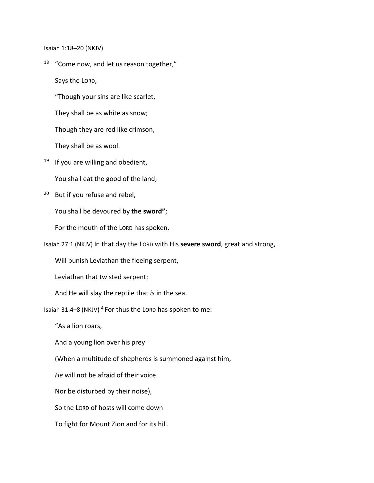Isaiah 1:18–20 (NKJV)

<sup>18</sup> "Come now, and let us reason together," Says the LORD,

"Though your sins are like scarlet,

They shall be as white as snow;

Though they are red like crimson,

They shall be as wool.

 $19$  If you are willing and obedient,

You shall eat the good of the land;

<sup>20</sup> But if you refuse and rebel,

You shall be devoured by **the sword"**;

For the mouth of the LORD has spoken.

Isaiah 27:1 (NKJV) In that day the LORD with His **severe sword**, great and strong,

Will punish Leviathan the fleeing serpent,

Leviathan that twisted serpent;

And He will slay the reptile that *is* in the sea.

Isaiah 31:4–8 (NKJV) <sup>4</sup> For thus the LORD has spoken to me:

"As a lion roars,

And a young lion over his prey

(When a multitude of shepherds is summoned against him,

*He* will not be afraid of their voice

Nor be disturbed by their noise),

So the LORD of hosts will come down

To fight for Mount Zion and for its hill.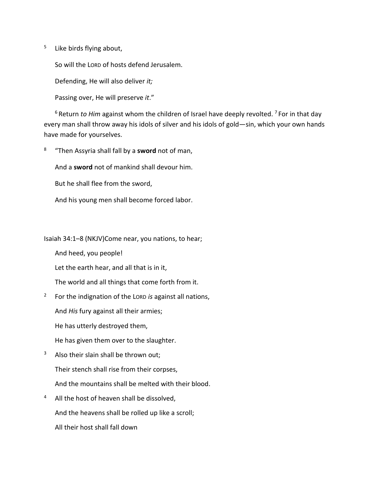<sup>5</sup> Like birds flying about,

So will the LORD of hosts defend Jerusalem.

Defending, He will also deliver *it;*

Passing over, He will preserve *it*."

<sup>6</sup> Return *to Him* against whom the children of Israel have deeply revolted. <sup>7</sup> For in that day every man shall throw away his idols of silver and his idols of gold—sin, which your own hands have made for yourselves.

<sup>8</sup> "Then Assyria shall fall by a **sword** not of man,

And a **sword** not of mankind shall devour him.

But he shall flee from the sword,

And his young men shall become forced labor.

Isaiah 34:1–8 (NKJV)Come near, you nations, to hear;

And heed, you people!

Let the earth hear, and all that is in it,

The world and all things that come forth from it.

<sup>2</sup> For the indignation of the LORD *is* against all nations,

And *His* fury against all their armies;

He has utterly destroyed them,

He has given them over to the slaughter.

- $3$  Also their slain shall be thrown out; Their stench shall rise from their corpses, And the mountains shall be melted with their blood.
- <sup>4</sup> All the host of heaven shall be dissolved, And the heavens shall be rolled up like a scroll; All their host shall fall down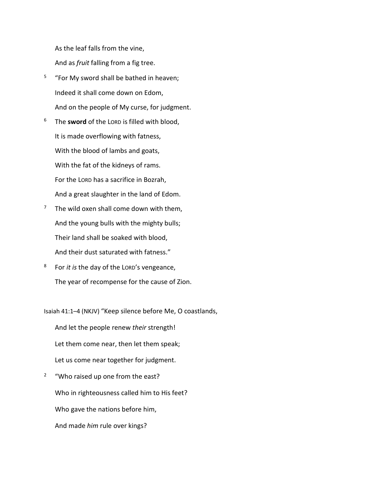As the leaf falls from the vine,

And as *fruit* falling from a fig tree.

- $5$  "For My sword shall be bathed in heaven; Indeed it shall come down on Edom, And on the people of My curse, for judgment.
- <sup>6</sup> The **sword** of the LORD is filled with blood, It is made overflowing with fatness, With the blood of lambs and goats, With the fat of the kidneys of rams. For the LORD has a sacrifice in Bozrah, And a great slaughter in the land of Edom.
- $7$  The wild oxen shall come down with them, And the young bulls with the mighty bulls; Their land shall be soaked with blood, And their dust saturated with fatness."
- <sup>8</sup> For *it is* the day of the LORD's vengeance, The year of recompense for the cause of Zion.

Isaiah 41:1–4 (NKJV) "Keep silence before Me, O coastlands,

And let the people renew *their* strength! Let them come near, then let them speak; Let us come near together for judgment.

<sup>2</sup> "Who raised up one from the east? Who in righteousness called him to His feet? Who gave the nations before him, And made *him* rule over kings?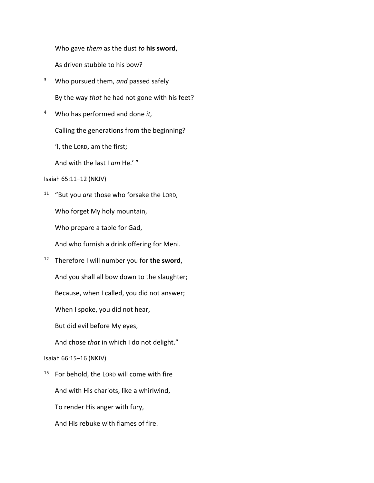Who gave *them* as the dust *to* **his sword**,

As driven stubble to his bow?

- <sup>3</sup> Who pursued them, *and* passed safely By the way *that* he had not gone with his feet?
- <sup>4</sup> Who has performed and done *it,*

Calling the generations from the beginning?

'I, the LORD, am the first;

And with the last I *am* He.' "

Isaiah 65:11–12 (NKJV)

<sup>11</sup> "But you *are* those who forsake the LORD,

Who forget My holy mountain,

Who prepare a table for Gad,

And who furnish a drink offering for Meni.

<sup>12</sup> Therefore I will number you for **the sword**,

And you shall all bow down to the slaughter;

Because, when I called, you did not answer;

When I spoke, you did not hear,

But did evil before My eyes,

And chose *that* in which I do not delight."

#### Isaiah 66:15–16 (NKJV)

- $15$  For behold, the LORD will come with fire And with His chariots, like a whirlwind,
	- To render His anger with fury,
	- And His rebuke with flames of fire.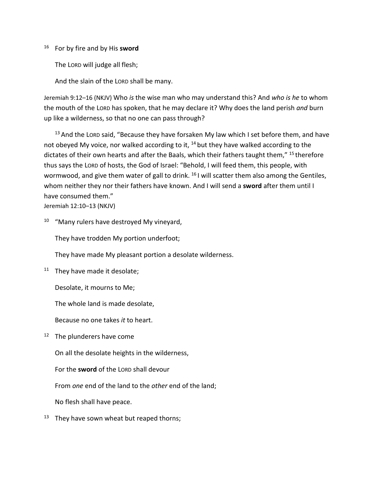#### <sup>16</sup> For by fire and by His **sword**

The LORD will judge all flesh;

And the slain of the LORD shall be many.

Jeremiah 9:12–16 (NKJV) Who *is* the wise man who may understand this? And *who is he* to whom the mouth of the LORD has spoken, that he may declare it? Why does the land perish *and* burn up like a wilderness, so that no one can pass through?

 $13$  And the LORD said, "Because they have forsaken My law which I set before them, and have not obeyed My voice, nor walked according to it,  $^{14}$  but they have walked according to the dictates of their own hearts and after the Baals, which their fathers taught them," <sup>15</sup> therefore thus says the LORD of hosts, the God of Israel: "Behold, I will feed them, this people, with wormwood, and give them water of gall to drink. <sup>16</sup> I will scatter them also among the Gentiles, whom neither they nor their fathers have known. And I will send a **sword** after them until I have consumed them."

Jeremiah 12:10–13 (NKJV)

 $10$  "Many rulers have destroyed My vineyard,

They have trodden My portion underfoot;

They have made My pleasant portion a desolate wilderness.

 $11$  They have made it desolate;

Desolate, it mourns to Me;

The whole land is made desolate,

Because no one takes *it* to heart.

<sup>12</sup> The plunderers have come

On all the desolate heights in the wilderness,

For the **sword** of the LORD shall devour

From *one* end of the land to the *other* end of the land;

No flesh shall have peace.

 $13$  They have sown wheat but reaped thorns;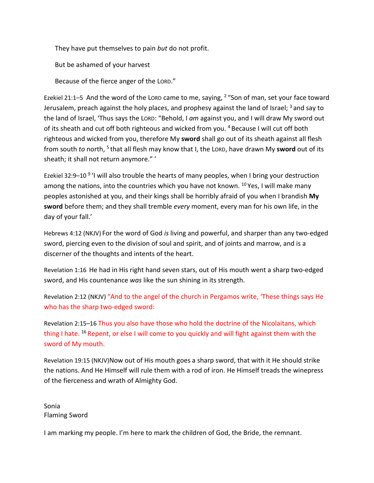They have put themselves to pain *but* do not profit.

But be ashamed of your harvest

Because of the fierce anger of the LORD."

Ezekiel 21:1–5 And the word of the LORD came to me, saying,  $2$  "Son of man, set your face toward Jerusalem, preach against the holy places, and prophesy against the land of Israel;  $3$  and say to the land of Israel, 'Thus says the LORD: "Behold, I *am* against you, and I will draw My sword out of its sheath and cut off both righteous and wicked from you. 4 Because I will cut off both righteous and wicked from you, therefore My **sword** shall go out of its sheath against all flesh from south *to* north, 5 that all flesh may know that I, the LORD, have drawn My **sword** out of its sheath; it shall not return anymore." '

Ezekiel 32:9-10<sup>9</sup> 'I will also trouble the hearts of many peoples, when I bring your destruction among the nations, into the countries which you have not known. <sup>10</sup> Yes, I will make many peoples astonished at you, and their kings shall be horribly afraid of you when I brandish **My sword** before them; and they shall tremble *every* moment, every man for his own life, in the day of your fall.'

Hebrews 4:12 (NKJV) For the word of God *is* living and powerful, and sharper than any two-edged sword, piercing even to the division of soul and spirit, and of joints and marrow, and is a discerner of the thoughts and intents of the heart.

Revelation 1:16 He had in His right hand seven stars, out of His mouth went a sharp two-edged sword, and His countenance *was* like the sun shining in its strength.

Revelation 2:12 (NKJV) "And to the angel of the church in Pergamos write, 'These things says He who has the sharp two-edged sword:

Revelation 2:15–16 Thus you also have those who hold the doctrine of the Nicolaitans, which thing I hate. <sup>16</sup> Repent, or else I will come to you quickly and will fight against them with the sword of My mouth.

Revelation 19:15 (NKJV)Now out of His mouth goes a sharp sword, that with it He should strike the nations. And He Himself will rule them with a rod of iron. He Himself treads the winepress of the fierceness and wrath of Almighty God.

Sonia Flaming Sword

I am marking my people. I'm here to mark the children of God, the Bride, the remnant.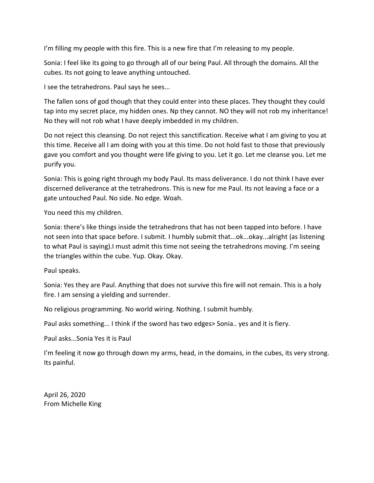I'm filling my people with this fire. This is a new fire that I'm releasing to my people.

Sonia: I feel like its going to go through all of our being Paul. All through the domains. All the cubes. Its not going to leave anything untouched.

I see the tetrahedrons. Paul says he sees...

The fallen sons of god though that they could enter into these places. They thought they could tap into my secret place, my hidden ones. Np they cannot. NO they will not rob my inheritance! No they will not rob what I have deeply imbedded in my children.

Do not reject this cleansing. Do not reject this sanctification. Receive what I am giving to you at this time. Receive all I am doing with you at this time. Do not hold fast to those that previously gave you comfort and you thought were life giving to you. Let it go. Let me cleanse you. Let me purify you.

Sonia: This is going right through my body Paul. Its mass deliverance. I do not think I have ever discerned deliverance at the tetrahedrons. This is new for me Paul. Its not leaving a face or a gate untouched Paul. No side. No edge. Woah.

You need this my children.

Sonia: there's like things inside the tetrahedrons that has not been tapped into before. I have not seen into that space before. I submit. I humbly submit that...ok...okay...alright (as listening to what Paul is saying).I must admit this time not seeing the tetrahedrons moving. I'm seeing the triangles within the cube. Yup. Okay. Okay.

Paul speaks.

Sonia: Yes they are Paul. Anything that does not survive this fire will not remain. This is a holy fire. I am sensing a yielding and surrender.

No religious programming. No world wiring. Nothing. I submit humbly.

Paul asks something... I think if the sword has two edges> Sonia.. yes and it is fiery.

Paul asks...Sonia Yes it is Paul

I'm feeling it now go through down my arms, head, in the domains, in the cubes, its very strong. Its painful.

April 26, 2020 From Michelle King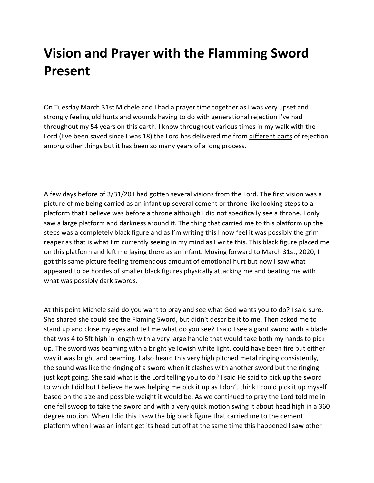# **Vision and Prayer with the Flamming Sword Present**

On Tuesday March 31st Michele and I had a prayer time together as I was very upset and strongly feeling old hurts and wounds having to do with generational rejection I've had throughout my 54 years on this earth. I know throughout various times in my walk with the Lord (I've been saved since I was 18) the Lord has delivered me from different parts of rejection among other things but it has been so many years of a long process.

A few days before of 3/31/20 I had gotten several visions from the Lord. The first vision was a picture of me being carried as an infant up several cement or throne like looking steps to a platform that I believe was before a throne although I did not specifically see a throne. I only saw a large platform and darkness around it. The thing that carried me to this platform up the steps was a completely black figure and as I'm writing this I now feel it was possibly the grim reaper as that is what I'm currently seeing in my mind as I write this. This black figure placed me on this platform and left me laying there as an infant. Moving forward to March 31st, 2020, I got this same picture feeling tremendous amount of emotional hurt but now I saw what appeared to be hordes of smaller black figures physically attacking me and beating me with what was possibly dark swords.

At this point Michele said do you want to pray and see what God wants you to do? I said sure. She shared she could see the Flaming Sword, but didn't describe it to me. Then asked me to stand up and close my eyes and tell me what do you see? I said I see a giant sword with a blade that was 4 to 5ft high in length with a very large handle that would take both my hands to pick up. The sword was beaming with a bright yellowish white light, could have been fire but either way it was bright and beaming. I also heard this very high pitched metal ringing consistently, the sound was like the ringing of a sword when it clashes with another sword but the ringing just kept going. She said what is the Lord telling you to do? I said He said to pick up the sword to which I did but I believe He was helping me pick it up as I don't think I could pick it up myself based on the size and possible weight it would be. As we continued to pray the Lord told me in one fell swoop to take the sword and with a very quick motion swing it about head high in a 360 degree motion. When I did this I saw the big black figure that carried me to the cement platform when I was an infant get its head cut off at the same time this happened I saw other